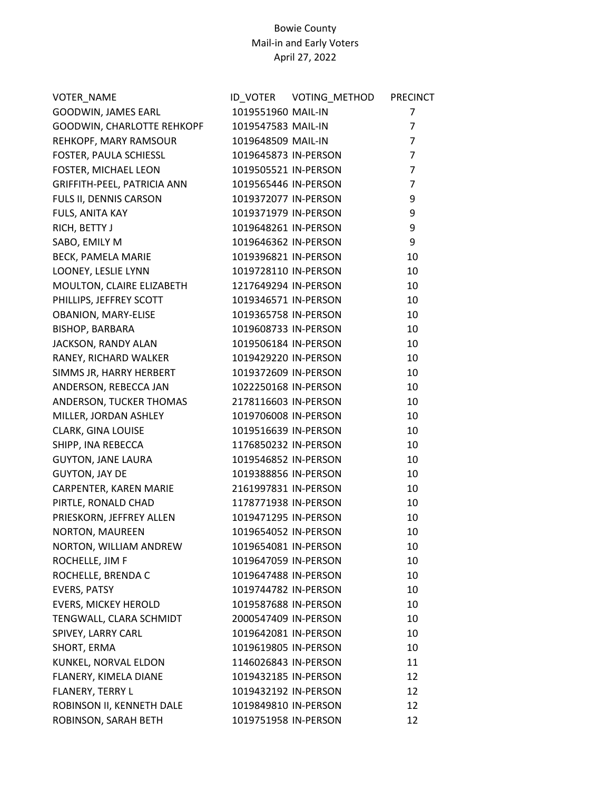| VOTER_NAME                  |                      |                      | <b>PRECINCT</b> |
|-----------------------------|----------------------|----------------------|-----------------|
| GOODWIN, JAMES EARL         | 1019551960 MAIL-IN   |                      | $\overline{7}$  |
| GOODWIN, CHARLOTTE REHKOPF  | 1019547583 MAIL-IN   |                      | $\overline{7}$  |
| REHKOPF, MARY RAMSOUR       | 1019648509 MAIL-IN   |                      | $\overline{7}$  |
| FOSTER, PAULA SCHIESSL      | 1019645873 IN-PERSON |                      | $\overline{7}$  |
| FOSTER, MICHAEL LEON        | 1019505521 IN-PERSON |                      | $\overline{7}$  |
| GRIFFITH-PEEL, PATRICIA ANN | 1019565446 IN-PERSON |                      | $\overline{7}$  |
| FULS II, DENNIS CARSON      | 1019372077 IN-PERSON |                      | 9               |
| FULS, ANITA KAY             | 1019371979 IN-PERSON |                      | 9               |
| RICH, BETTY J               | 1019648261 IN-PERSON |                      | 9               |
| SABO, EMILY M               | 1019646362 IN-PERSON |                      | 9               |
| BECK, PAMELA MARIE          | 1019396821 IN-PERSON |                      | 10              |
| LOONEY, LESLIE LYNN         | 1019728110 IN-PERSON |                      | 10              |
| MOULTON, CLAIRE ELIZABETH   | 1217649294 IN-PERSON |                      | 10              |
| PHILLIPS, JEFFREY SCOTT     |                      | 1019346571 IN-PERSON | 10              |
| OBANION, MARY-ELISE         | 1019365758 IN-PERSON |                      | 10              |
| <b>BISHOP, BARBARA</b>      | 1019608733 IN-PERSON |                      | 10              |
| JACKSON, RANDY ALAN         | 1019506184 IN-PERSON |                      | 10              |
| RANEY, RICHARD WALKER       | 1019429220 IN-PERSON |                      | 10              |
| SIMMS JR, HARRY HERBERT     |                      | 1019372609 IN-PERSON | 10              |
| ANDERSON, REBECCA JAN       | 1022250168 IN-PERSON |                      | 10              |
| ANDERSON, TUCKER THOMAS     | 2178116603 IN-PERSON |                      | 10              |
| MILLER, JORDAN ASHLEY       | 1019706008 IN-PERSON |                      | 10              |
| CLARK, GINA LOUISE          | 1019516639 IN-PERSON |                      | 10              |
| SHIPP, INA REBECCA          | 1176850232 IN-PERSON |                      | 10              |
| <b>GUYTON, JANE LAURA</b>   | 1019546852 IN-PERSON |                      | 10              |
| <b>GUYTON, JAY DE</b>       | 1019388856 IN-PERSON |                      | 10              |
| CARPENTER, KAREN MARIE      | 2161997831 IN-PERSON |                      | 10              |
| PIRTLE, RONALD CHAD         | 1178771938 IN-PERSON |                      | 10              |
| PRIESKORN, JEFFREY ALLEN    | 1019471295 IN-PERSON |                      | 10              |
| <b>NORTON, MAUREEN</b>      | 1019654052 IN-PERSON |                      | 10              |
| NORTON, WILLIAM ANDREW      | 1019654081 IN-PERSON |                      | 10              |
| ROCHELLE, JIM F             | 1019647059 IN-PERSON |                      | 10              |
| ROCHELLE, BRENDA C          | 1019647488 IN-PERSON |                      | 10              |
| <b>EVERS, PATSY</b>         | 1019744782 IN-PERSON |                      | 10              |
| <b>EVERS, MICKEY HEROLD</b> | 1019587688 IN-PERSON |                      | 10              |
| TENGWALL, CLARA SCHMIDT     | 2000547409 IN-PERSON |                      | 10              |
| SPIVEY, LARRY CARL          | 1019642081 IN-PERSON |                      | 10              |
| SHORT, ERMA                 | 1019619805 IN-PERSON |                      | 10              |
| KUNKEL, NORVAL ELDON        | 1146026843 IN-PERSON |                      | 11              |
| FLANERY, KIMELA DIANE       | 1019432185 IN-PERSON |                      | 12              |
| FLANERY, TERRY L            | 1019432192 IN-PERSON |                      | 12              |
| ROBINSON II, KENNETH DALE   | 1019849810 IN-PERSON |                      | 12              |
| ROBINSON, SARAH BETH        | 1019751958 IN-PERSON |                      | 12              |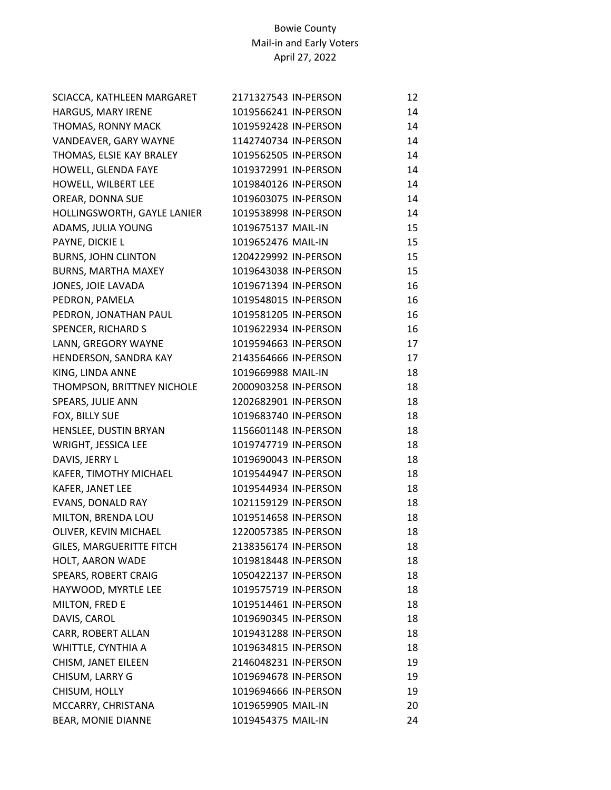| SCIACCA, KATHLEEN MARGARET      | 2171327543 IN-PERSON | 12 |
|---------------------------------|----------------------|----|
| HARGUS, MARY IRENE              | 1019566241 IN-PERSON | 14 |
| THOMAS, RONNY MACK              | 1019592428 IN-PERSON | 14 |
| VANDEAVER, GARY WAYNE           | 1142740734 IN-PERSON | 14 |
| THOMAS, ELSIE KAY BRALEY        | 1019562505 IN-PERSON | 14 |
| HOWELL, GLENDA FAYE             | 1019372991 IN-PERSON | 14 |
| HOWELL, WILBERT LEE             | 1019840126 IN-PERSON | 14 |
| OREAR, DONNA SUE                | 1019603075 IN-PERSON | 14 |
| HOLLINGSWORTH, GAYLE LANIER     | 1019538998 IN-PERSON | 14 |
| ADAMS, JULIA YOUNG              | 1019675137 MAIL-IN   | 15 |
| PAYNE, DICKIE L                 | 1019652476 MAIL-IN   | 15 |
| <b>BURNS, JOHN CLINTON</b>      | 1204229992 IN-PERSON | 15 |
| <b>BURNS, MARTHA MAXEY</b>      | 1019643038 IN-PERSON | 15 |
| JONES, JOIE LAVADA              | 1019671394 IN-PERSON | 16 |
| PEDRON, PAMELA                  | 1019548015 IN-PERSON | 16 |
| PEDRON, JONATHAN PAUL           | 1019581205 IN-PERSON | 16 |
| SPENCER, RICHARD S              | 1019622934 IN-PERSON | 16 |
| LANN, GREGORY WAYNE             | 1019594663 IN-PERSON | 17 |
| HENDERSON, SANDRA KAY           | 2143564666 IN-PERSON | 17 |
| KING, LINDA ANNE                | 1019669988 MAIL-IN   | 18 |
| THOMPSON, BRITTNEY NICHOLE      | 2000903258 IN-PERSON | 18 |
| SPEARS, JULIE ANN               | 1202682901 IN-PERSON | 18 |
| FOX, BILLY SUE                  | 1019683740 IN-PERSON | 18 |
| HENSLEE, DUSTIN BRYAN           | 1156601148 IN-PERSON | 18 |
| WRIGHT, JESSICA LEE             | 1019747719 IN-PERSON | 18 |
| DAVIS, JERRY L                  | 1019690043 IN-PERSON | 18 |
| KAFER, TIMOTHY MICHAEL          | 1019544947 IN-PERSON | 18 |
| KAFER, JANET LEE                | 1019544934 IN-PERSON | 18 |
| EVANS, DONALD RAY               | 1021159129 IN-PERSON | 18 |
| MILTON, BRENDA LOU              | 1019514658 IN-PERSON | 18 |
| OLIVER, KEVIN MICHAEL           | 1220057385 IN-PERSON | 18 |
| <b>GILES, MARGUERITTE FITCH</b> | 2138356174 IN-PERSON | 18 |
| HOLT, AARON WADE                | 1019818448 IN-PERSON | 18 |
| SPEARS, ROBERT CRAIG            | 1050422137 IN-PERSON | 18 |
| HAYWOOD, MYRTLE LEE             | 1019575719 IN-PERSON | 18 |
| MILTON, FRED E                  | 1019514461 IN-PERSON | 18 |
| DAVIS, CAROL                    | 1019690345 IN-PERSON | 18 |
| CARR, ROBERT ALLAN              | 1019431288 IN-PERSON | 18 |
| WHITTLE, CYNTHIA A              | 1019634815 IN-PERSON | 18 |
| CHISM, JANET EILEEN             | 2146048231 IN-PERSON | 19 |
| CHISUM, LARRY G                 | 1019694678 IN-PERSON | 19 |
| CHISUM, HOLLY                   | 1019694666 IN-PERSON | 19 |
| MCCARRY, CHRISTANA              | 1019659905 MAIL-IN   | 20 |
| BEAR, MONIE DIANNE              | 1019454375 MAIL-IN   | 24 |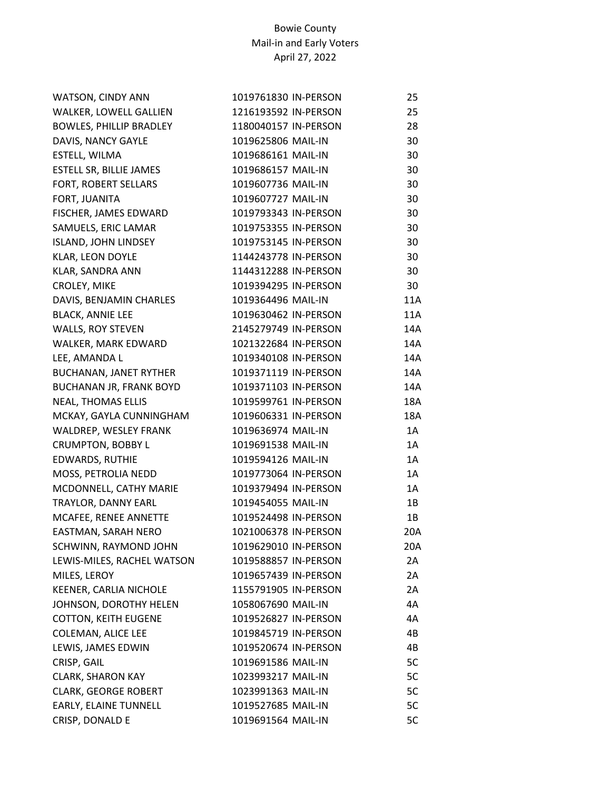| WATSON, CINDY ANN              | 1019761830 IN-PERSON | 25  |
|--------------------------------|----------------------|-----|
| WALKER, LOWELL GALLIEN         | 1216193592 IN-PERSON | 25  |
| <b>BOWLES, PHILLIP BRADLEY</b> | 1180040157 IN-PERSON | 28  |
| DAVIS, NANCY GAYLE             | 1019625806 MAIL-IN   | 30  |
| ESTELL, WILMA                  | 1019686161 MAIL-IN   | 30  |
| <b>ESTELL SR, BILLIE JAMES</b> | 1019686157 MAIL-IN   | 30  |
| FORT, ROBERT SELLARS           | 1019607736 MAIL-IN   | 30  |
| FORT, JUANITA                  | 1019607727 MAIL-IN   | 30  |
| FISCHER, JAMES EDWARD          | 1019793343 IN-PERSON | 30  |
| SAMUELS, ERIC LAMAR            | 1019753355 IN-PERSON | 30  |
| <b>ISLAND, JOHN LINDSEY</b>    | 1019753145 IN-PERSON | 30  |
| KLAR, LEON DOYLE               | 1144243778 IN-PERSON | 30  |
| KLAR, SANDRA ANN               | 1144312288 IN-PERSON | 30  |
| CROLEY, MIKE                   | 1019394295 IN-PERSON | 30  |
| DAVIS, BENJAMIN CHARLES        | 1019364496 MAIL-IN   | 11A |
| <b>BLACK, ANNIE LEE</b>        | 1019630462 IN-PERSON | 11A |
| <b>WALLS, ROY STEVEN</b>       | 2145279749 IN-PERSON | 14A |
| WALKER, MARK EDWARD            | 1021322684 IN-PERSON | 14A |
| LEE, AMANDA L                  | 1019340108 IN-PERSON | 14A |
| BUCHANAN, JANET RYTHER         | 1019371119 IN-PERSON | 14A |
| BUCHANAN JR, FRANK BOYD        | 1019371103 IN-PERSON | 14A |
| <b>NEAL, THOMAS ELLIS</b>      | 1019599761 IN-PERSON | 18A |
| MCKAY, GAYLA CUNNINGHAM        | 1019606331 IN-PERSON | 18A |
| WALDREP, WESLEY FRANK          | 1019636974 MAIL-IN   | 1A  |
| <b>CRUMPTON, BOBBY L</b>       | 1019691538 MAIL-IN   | 1A  |
| EDWARDS, RUTHIE                | 1019594126 MAIL-IN   | 1A  |
| MOSS, PETROLIA NEDD            | 1019773064 IN-PERSON | 1A  |
| MCDONNELL, CATHY MARIE         | 1019379494 IN-PERSON | 1A  |
| TRAYLOR, DANNY EARL            | 1019454055 MAIL-IN   | 1B  |
| MCAFEE, RENEE ANNETTE          | 1019524498 IN-PERSON | 1B  |
| EASTMAN, SARAH NERO            | 1021006378 IN-PERSON | 20A |
| SCHWINN, RAYMOND JOHN          | 1019629010 IN-PERSON | 20A |
| LEWIS-MILES, RACHEL WATSON     | 1019588857 IN-PERSON | 2A  |
| MILES, LEROY                   | 1019657439 IN-PERSON | 2A  |
| KEENER, CARLIA NICHOLE         | 1155791905 IN-PERSON | 2A  |
| JOHNSON, DOROTHY HELEN         | 1058067690 MAIL-IN   | 4A  |
| <b>COTTON, KEITH EUGENE</b>    | 1019526827 IN-PERSON | 4A  |
| COLEMAN, ALICE LEE             | 1019845719 IN-PERSON | 4B  |
| LEWIS, JAMES EDWIN             | 1019520674 IN-PERSON | 4B  |
| CRISP, GAIL                    | 1019691586 MAIL-IN   | 5C  |
| <b>CLARK, SHARON KAY</b>       | 1023993217 MAIL-IN   | 5C  |
| <b>CLARK, GEORGE ROBERT</b>    | 1023991363 MAIL-IN   | 5C  |
| EARLY, ELAINE TUNNELL          | 1019527685 MAIL-IN   | 5C  |
| CRISP, DONALD E                | 1019691564 MAIL-IN   | 5C  |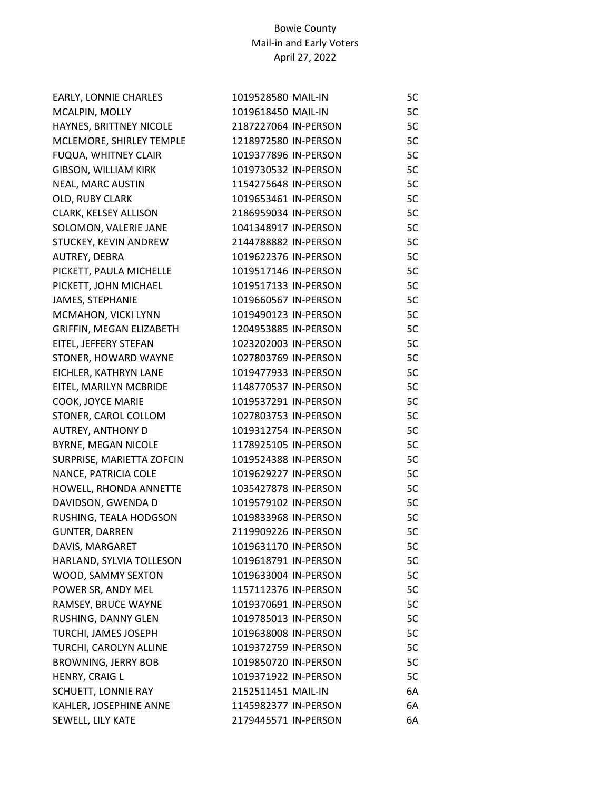| EARLY, LONNIE CHARLES       | 1019528580 MAIL-IN   | 5C |
|-----------------------------|----------------------|----|
| MCALPIN, MOLLY              | 1019618450 MAIL-IN   | 5C |
| HAYNES, BRITTNEY NICOLE     | 2187227064 IN-PERSON | 5C |
| MCLEMORE, SHIRLEY TEMPLE    | 1218972580 IN-PERSON | 5C |
| <b>FUQUA, WHITNEY CLAIR</b> | 1019377896 IN-PERSON | 5C |
| <b>GIBSON, WILLIAM KIRK</b> | 1019730532 IN-PERSON | 5C |
| NEAL, MARC AUSTIN           | 1154275648 IN-PERSON | 5C |
| OLD, RUBY CLARK             | 1019653461 IN-PERSON | 5C |
| CLARK, KELSEY ALLISON       | 2186959034 IN-PERSON | 5C |
| SOLOMON, VALERIE JANE       | 1041348917 IN-PERSON | 5C |
| STUCKEY, KEVIN ANDREW       | 2144788882 IN-PERSON | 5C |
| AUTREY, DEBRA               | 1019622376 IN-PERSON | 5C |
| PICKETT, PAULA MICHELLE     | 1019517146 IN-PERSON | 5C |
| PICKETT, JOHN MICHAEL       | 1019517133 IN-PERSON | 5C |
| JAMES, STEPHANIE            | 1019660567 IN-PERSON | 5C |
| MCMAHON, VICKI LYNN         | 1019490123 IN-PERSON | 5C |
| GRIFFIN, MEGAN ELIZABETH    | 1204953885 IN-PERSON | 5C |
| EITEL, JEFFERY STEFAN       | 1023202003 IN-PERSON | 5C |
| STONER, HOWARD WAYNE        | 1027803769 IN-PERSON | 5C |
| EICHLER, KATHRYN LANE       | 1019477933 IN-PERSON | 5C |
| EITEL, MARILYN MCBRIDE      | 1148770537 IN-PERSON | 5C |
| COOK, JOYCE MARIE           | 1019537291 IN-PERSON | 5C |
| STONER, CAROL COLLOM        | 1027803753 IN-PERSON | 5C |
| <b>AUTREY, ANTHONY D</b>    | 1019312754 IN-PERSON | 5C |
| <b>BYRNE, MEGAN NICOLE</b>  | 1178925105 IN-PERSON | 5C |
| SURPRISE, MARIETTA ZOFCIN   | 1019524388 IN-PERSON | 5C |
| NANCE, PATRICIA COLE        | 1019629227 IN-PERSON | 5C |
| HOWELL, RHONDA ANNETTE      | 1035427878 IN-PERSON | 5C |
| DAVIDSON, GWENDA D          | 1019579102 IN-PERSON | 5C |
| RUSHING, TEALA HODGSON      | 1019833968 IN-PERSON | 5C |
| <b>GUNTER, DARREN</b>       | 2119909226 IN-PERSON | 5C |
| DAVIS, MARGARET             | 1019631170 IN-PERSON | 5C |
| HARLAND, SYLVIA TOLLESON    | 1019618791 IN-PERSON | 5C |
| WOOD, SAMMY SEXTON          | 1019633004 IN-PERSON | 5C |
| POWER SR, ANDY MEL          | 1157112376 IN-PERSON | 5C |
| RAMSEY, BRUCE WAYNE         | 1019370691 IN-PERSON | 5C |
| RUSHING, DANNY GLEN         | 1019785013 IN-PERSON | 5C |
| TURCHI, JAMES JOSEPH        | 1019638008 IN-PERSON | 5C |
| TURCHI, CAROLYN ALLINE      | 1019372759 IN-PERSON | 5C |
| <b>BROWNING, JERRY BOB</b>  | 1019850720 IN-PERSON | 5C |
| HENRY, CRAIG L              | 1019371922 IN-PERSON | 5C |
| SCHUETT, LONNIE RAY         | 2152511451 MAIL-IN   | 6A |
| KAHLER, JOSEPHINE ANNE      | 1145982377 IN-PERSON | 6A |
| SEWELL, LILY KATE           | 2179445571 IN-PERSON | 6A |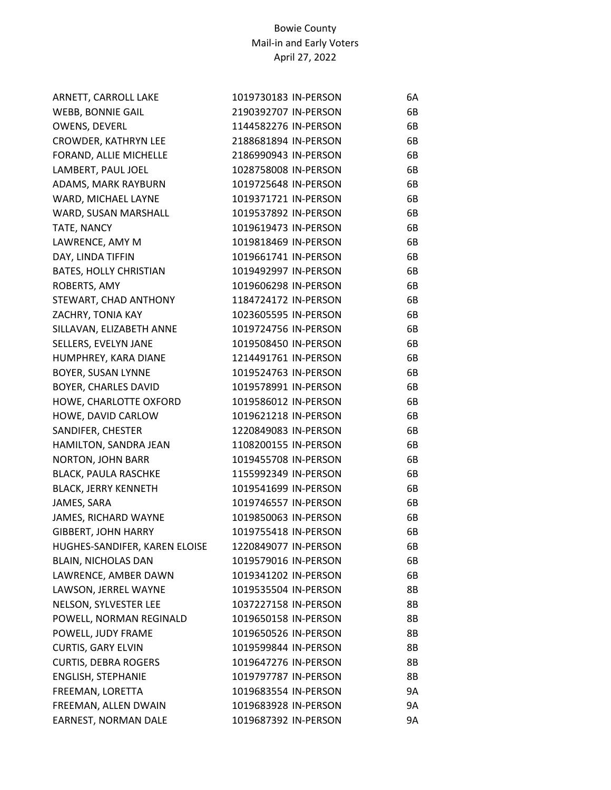| ARNETT, CARROLL LAKE          | 1019730183 IN-PERSON | 6A        |
|-------------------------------|----------------------|-----------|
| <b>WEBB, BONNIE GAIL</b>      | 2190392707 IN-PERSON | 6B        |
| OWENS, DEVERL                 | 1144582276 IN-PERSON | 6B        |
| CROWDER, KATHRYN LEE          | 2188681894 IN-PERSON | 6B        |
| FORAND, ALLIE MICHELLE        | 2186990943 IN-PERSON | 6B        |
| LAMBERT, PAUL JOEL            | 1028758008 IN-PERSON | 6B        |
| ADAMS, MARK RAYBURN           | 1019725648 IN-PERSON | 6B        |
| WARD, MICHAEL LAYNE           | 1019371721 IN-PERSON | 6B        |
| WARD, SUSAN MARSHALL          | 1019537892 IN-PERSON | 6B        |
| TATE, NANCY                   | 1019619473 IN-PERSON | 6B        |
| LAWRENCE, AMY M               | 1019818469 IN-PERSON | 6B        |
| DAY, LINDA TIFFIN             | 1019661741 IN-PERSON | 6B        |
| <b>BATES, HOLLY CHRISTIAN</b> | 1019492997 IN-PERSON | 6B        |
| ROBERTS, AMY                  | 1019606298 IN-PERSON | 6B        |
| STEWART, CHAD ANTHONY         | 1184724172 IN-PERSON | 6B        |
| ZACHRY, TONIA KAY             | 1023605595 IN-PERSON | 6B        |
| SILLAVAN, ELIZABETH ANNE      | 1019724756 IN-PERSON | 6B        |
| SELLERS, EVELYN JANE          | 1019508450 IN-PERSON | 6B        |
| HUMPHREY, KARA DIANE          | 1214491761 IN-PERSON | 6B        |
| <b>BOYER, SUSAN LYNNE</b>     | 1019524763 IN-PERSON | 6B        |
| BOYER, CHARLES DAVID          | 1019578991 IN-PERSON | 6B        |
| HOWE, CHARLOTTE OXFORD        | 1019586012 IN-PERSON | 6B        |
| HOWE, DAVID CARLOW            | 1019621218 IN-PERSON | 6B        |
| SANDIFER, CHESTER             | 1220849083 IN-PERSON | 6B        |
| HAMILTON, SANDRA JEAN         | 1108200155 IN-PERSON | 6B        |
| NORTON, JOHN BARR             | 1019455708 IN-PERSON | 6B        |
| <b>BLACK, PAULA RASCHKE</b>   | 1155992349 IN-PERSON | 6B        |
| <b>BLACK, JERRY KENNETH</b>   | 1019541699 IN-PERSON | 6B        |
| JAMES, SARA                   | 1019746557 IN-PERSON | 6B        |
| JAMES, RICHARD WAYNE          | 1019850063 IN-PERSON | 6B        |
| <b>GIBBERT, JOHN HARRY</b>    | 1019755418 IN-PERSON | 6B        |
| HUGHES-SANDIFER, KAREN ELOISE | 1220849077 IN-PERSON | 6B        |
| BLAIN, NICHOLAS DAN           | 1019579016 IN-PERSON | 6B        |
| LAWRENCE, AMBER DAWN          | 1019341202 IN-PERSON | 6B        |
| LAWSON, JERREL WAYNE          | 1019535504 IN-PERSON | 8B        |
| NELSON, SYLVESTER LEE         | 1037227158 IN-PERSON | 8B        |
| POWELL, NORMAN REGINALD       | 1019650158 IN-PERSON | 8B        |
| POWELL, JUDY FRAME            | 1019650526 IN-PERSON | 8B        |
| <b>CURTIS, GARY ELVIN</b>     | 1019599844 IN-PERSON | 8B        |
| <b>CURTIS, DEBRA ROGERS</b>   | 1019647276 IN-PERSON | 8B        |
| ENGLISH, STEPHANIE            | 1019797787 IN-PERSON | 8B        |
| FREEMAN, LORETTA              | 1019683554 IN-PERSON | <b>9A</b> |
| FREEMAN, ALLEN DWAIN          | 1019683928 IN-PERSON | <b>9A</b> |
| EARNEST, NORMAN DALE          | 1019687392 IN-PERSON | 9A        |